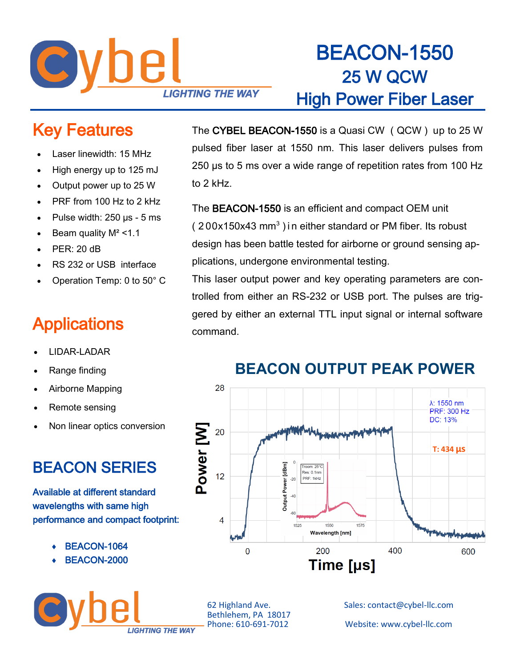

## BEACON-1550 25 W QCW High Power Fiber Laser

#### Key Features

- Laser linewidth: 15 MHz
- High energy up to 125 mJ
- Output power up to 25 W
- PRF from 100 Hz to 2 kHz
- Pulse width: 250 µs 5 ms
- Beam quality  $M^2 < 1.1$
- PER: 20 dB
- RS 232 or USB interface
- Operation Temp: 0 to 50° C

#### **Applications**

- LIDAR-LADAR
- Range finding
- Airborne Mapping
- Remote sensing
- Non linear optics conversion

### BEACON SERIES

Available at different standard wavelengths with same high performance and compact footprint:

- BEACON-1064
- BEACON-2000



The CYBEL BEACON-1550 is a Quasi CW ( QCW ) up to 25 W pulsed fiber laser at 1550 nm. This laser delivers pulses from 250 µs to 5 ms over a wide range of repetition rates from 100 Hz to 2 kHz.

The BEACON-1550 is an efficient and compact OEM unit  $(200x150x43$  mm<sup>3</sup>) in either standard or PM fiber. Its robust design has been battle tested for airborne or ground sensing applications, undergone environmental testing.

This laser output power and key operating parameters are controlled from either an RS-232 or USB port. The pulses are triggered by either an external TTL input signal or internal software command.

#### **BEACON OUTPUT PEAK POWER**



Bethlehem, PA 18017<br>Phone: 610-691-7012

62 Highland Ave. Sales: contact@cybel-llc.com

Website: www.cybel-llc.com